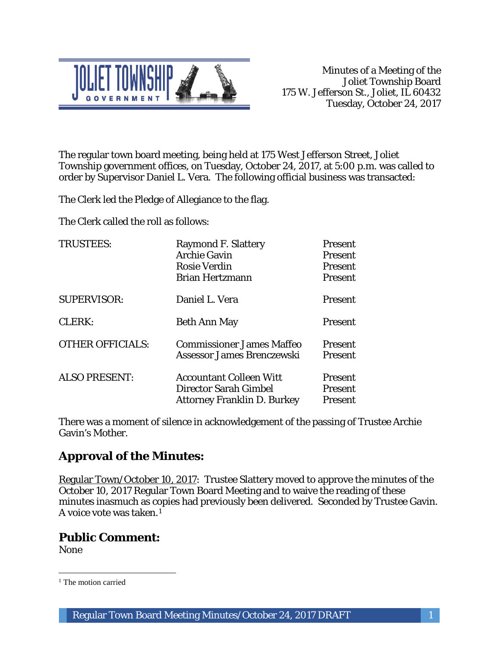

The regular town board meeting, being held at 175 West Jefferson Street, Joliet Township government offices, on Tuesday, October 24, 2017, at 5:00 p.m. was called to order by Supervisor Daniel L. Vera. The following official business was transacted:

The Clerk led the Pledge of Allegiance to the flag.

The Clerk called the roll as follows:

| <b>TRUSTEES:</b>        | <b>Raymond F. Slattery</b><br><b>Archie Gavin</b><br><b>Rosie Verdin</b><br><b>Brian Hertzmann</b> | Present<br><b>Present</b><br><b>Present</b><br><b>Present</b> |
|-------------------------|----------------------------------------------------------------------------------------------------|---------------------------------------------------------------|
| <b>SUPERVISOR:</b>      | Daniel L. Vera                                                                                     | <b>Present</b>                                                |
| CLERK:                  | Beth Ann May                                                                                       | <b>Present</b>                                                |
| <b>OTHER OFFICIALS:</b> | <b>Commissioner James Maffeo</b><br>Assessor James Brenczewski                                     | <b>Present</b><br><b>Present</b>                              |
| <b>ALSO PRESENT:</b>    | <b>Accountant Colleen Witt</b><br>Director Sarah Gimbel<br><b>Attorney Franklin D. Burkey</b>      | <b>Present</b><br><b>Present</b><br>Present                   |

There was a moment of silence in acknowledgement of the passing of Trustee Archie Gavin's Mother.

# **Approval of the Minutes:**

Regular Town/October 10, 2017: Trustee Slattery moved to approve the minutes of the October 10, 2017 Regular Town Board Meeting and to waive the reading of these minutes inasmuch as copies had previously been delivered. Seconded by Trustee Gavin. A voice vote was taken.1

# **Public Comment:**

None

 $\overline{a}$ 

<sup>&</sup>lt;sup>1</sup> The motion carried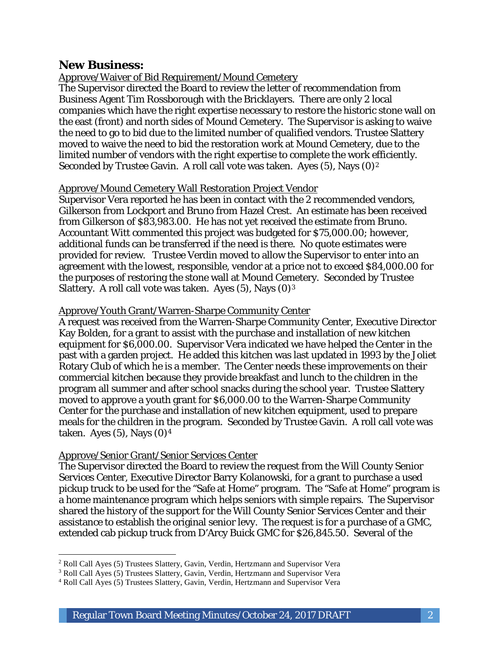### **New Business:**

### Approve/Waiver of Bid Requirement/Mound Cemetery

The Supervisor directed the Board to review the letter of recommendation from Business Agent Tim Rossborough with the Bricklayers. There are only 2 local companies which have the right expertise necessary to restore the historic stone wall on the east (front) and north sides of Mound Cemetery. The Supervisor is asking to waive the need to go to bid due to the limited number of qualified vendors. Trustee Slattery moved to waive the need to bid the restoration work at Mound Cemetery, due to the limited number of vendors with the right expertise to complete the work efficiently. Seconded by Trustee Gavin. A roll call vote was taken. Ayes  $(5)$ , Nays  $(0)^2$ 

#### Approve/Mound Cemetery Wall Restoration Project Vendor

Supervisor Vera reported he has been in contact with the 2 recommended vendors, Gilkerson from Lockport and Bruno from Hazel Crest. An estimate has been received from Gilkerson of \$83,983.00. He has not yet received the estimate from Bruno. Accountant Witt commented this project was budgeted for \$75,000.00; however, additional funds can be transferred if the need is there. No quote estimates were provided for review. Trustee Verdin moved to allow the Supervisor to enter into an agreement with the lowest, responsible, vendor at a price not to exceed \$84,000.00 for the purposes of restoring the stone wall at Mound Cemetery. Seconded by Trustee Slattery. A roll call vote was taken. Ayes  $(5)$ , Nays  $(0)<sup>3</sup>$ 

#### Approve/Youth Grant/Warren-Sharpe Community Center

A request was received from the Warren-Sharpe Community Center, Executive Director Kay Bolden, for a grant to assist with the purchase and installation of new kitchen equipment for \$6,000.00. Supervisor Vera indicated we have helped the Center in the past with a garden project. He added this kitchen was last updated in 1993 by the Joliet Rotary Club of which he is a member. The Center needs these improvements on their commercial kitchen because they provide breakfast and lunch to the children in the program all summer and after school snacks during the school year. Trustee Slattery moved to approve a youth grant for \$6,000.00 to the Warren-Sharpe Community Center for the purchase and installation of new kitchen equipment, used to prepare meals for the children in the program. Seconded by Trustee Gavin. A roll call vote was taken. Ayes  $(5)$ , Nays  $(0)<sup>4</sup>$ 

#### Approve/Senior Grant/Senior Services Center

I

The Supervisor directed the Board to review the request from the Will County Senior Services Center, Executive Director Barry Kolanowski, for a grant to purchase a used pickup truck to be used for the "Safe at Home" program. The "Safe at Home" program is a home maintenance program which helps seniors with simple repairs. The Supervisor shared the history of the support for the Will County Senior Services Center and their assistance to establish the original senior levy. The request is for a purchase of a GMC, extended cab pickup truck from D'Arcy Buick GMC for \$26,845.50. Several of the

<sup>2</sup> Roll Call Ayes (5) Trustees Slattery, Gavin, Verdin, Hertzmann and Supervisor Vera

<sup>3</sup> Roll Call Ayes (5) Trustees Slattery, Gavin, Verdin, Hertzmann and Supervisor Vera

<sup>4</sup> Roll Call Ayes (5) Trustees Slattery, Gavin, Verdin, Hertzmann and Supervisor Vera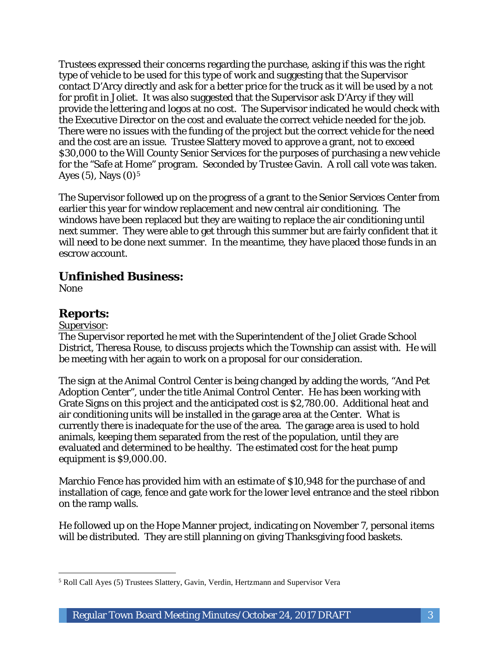Trustees expressed their concerns regarding the purchase, asking if this was the right type of vehicle to be used for this type of work and suggesting that the Supervisor contact D'Arcy directly and ask for a better price for the truck as it will be used by a not for profit in Joliet. It was also suggested that the Supervisor ask D'Arcy if they will provide the lettering and logos at no cost. The Supervisor indicated he would check with the Executive Director on the cost and evaluate the correct vehicle needed for the job. There were no issues with the funding of the project but the correct vehicle for the need and the cost are an issue. Trustee Slattery moved to approve a grant, not to exceed \$30,000 to the Will County Senior Services for the purposes of purchasing a new vehicle for the "Safe at Home" program. Seconded by Trustee Gavin. A roll call vote was taken. Ayes  $(5)$ , Nays  $(0)<sup>5</sup>$ 

The Supervisor followed up on the progress of a grant to the Senior Services Center from earlier this year for window replacement and new central air conditioning. The windows have been replaced but they are waiting to replace the air conditioning until next summer. They were able to get through this summer but are fairly confident that it will need to be done next summer. In the meantime, they have placed those funds in an escrow account.

# **Unfinished Business:**

None

# **Reports:**

#### Supervisor:

The Supervisor reported he met with the Superintendent of the Joliet Grade School District, Theresa Rouse, to discuss projects which the Township can assist with. He will be meeting with her again to work on a proposal for our consideration.

The sign at the Animal Control Center is being changed by adding the words, "And Pet Adoption Center", under the title Animal Control Center. He has been working with Grate Signs on this project and the anticipated cost is \$2,780.00. Additional heat and air conditioning units will be installed in the garage area at the Center. What is currently there is inadequate for the use of the area. The garage area is used to hold animals, keeping them separated from the rest of the population, until they are evaluated and determined to be healthy. The estimated cost for the heat pump equipment is \$9,000.00.

Marchio Fence has provided him with an estimate of \$10,948 for the purchase of and installation of cage, fence and gate work for the lower level entrance and the steel ribbon on the ramp walls.

He followed up on the Hope Manner project, indicating on November 7, personal items will be distributed. They are still planning on giving Thanksgiving food baskets.

 $\overline{a}$ <sup>5</sup> Roll Call Ayes (5) Trustees Slattery, Gavin, Verdin, Hertzmann and Supervisor Vera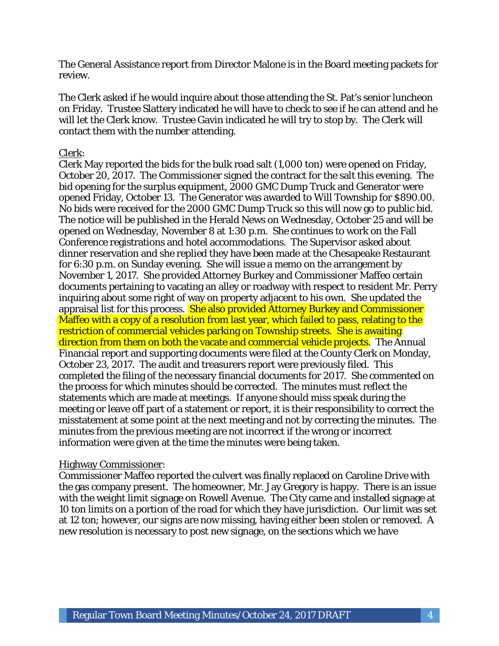The General Assistance report from Director Malone is in the Board meeting packets for review.

The Clerk asked if he would inquire about those attending the St. Pat's senior luncheon on Friday. Trustee Slattery indicated he will have to check to see if he can attend and he will let the Clerk know. Trustee Gavin indicated he will try to stop by. The Clerk will contact them with the number attending.

#### Clerk:

Clerk May reported the bids for the bulk road salt (1,000 ton) were opened on Friday, October 20, 2017. The Commissioner signed the contract for the salt this evening. The bid opening for the surplus equipment, 2000 GMC Dump Truck and Generator were opened Friday, October 13. The Generator was awarded to Will Township for \$890.00. No bids were received for the 2000 GMC Dump Truck so this will now go to public bid. The notice will be published in the Herald News on Wednesday, October 25 and will be opened on Wednesday, November 8 at 1:30 p.m. She continues to work on the Fall Conference registrations and hotel accommodations. The Supervisor asked about dinner reservation and she replied they have been made at the Chesapeake Restaurant for 6:30 p.m. on Sunday evening. She will issue a memo on the arrangement by November 1, 2017. She provided Attorney Burkey and Commissioner Maffeo certain documents pertaining to vacating an alley or roadway with respect to resident Mr. Perry inquiring about some right of way on property adjacent to his own. She updated the appraisal list for this process. She also provided Attorney Burkey and Commissioner Maffeo with a copy of a resolution from last year, which failed to pass, relating to the restriction of commercial vehicles parking on Township streets. She is awaiting direction from them on both the vacate and commercial vehicle projects. The Annual Financial report and supporting documents were filed at the County Clerk on Monday, October 23, 2017. The audit and treasurers report were previously filed. This completed the filing of the necessary financial documents for 2017. She commented on the process for which minutes should be corrected. The minutes must reflect the statements which are made at meetings. If anyone should miss speak during the meeting or leave off part of a statement or report, it is their responsibility to correct the misstatement at some point at the next meeting and not by correcting the minutes. The minutes from the previous meeting are not incorrect if the wrong or incorrect information were given at the time the minutes were being taken.

#### Highway Commissioner:

Commissioner Maffeo reported the culvert was finally replaced on Caroline Drive with the gas company present. The homeowner, Mr. Jay Gregory is happy. There is an issue with the weight limit signage on Rowell Avenue. The City came and installed signage at 10 ton limits on a portion of the road for which they have jurisdiction. Our limit was set at 12 ton; however, our signs are now missing, having either been stolen or removed. A new resolution is necessary to post new signage, on the sections which we have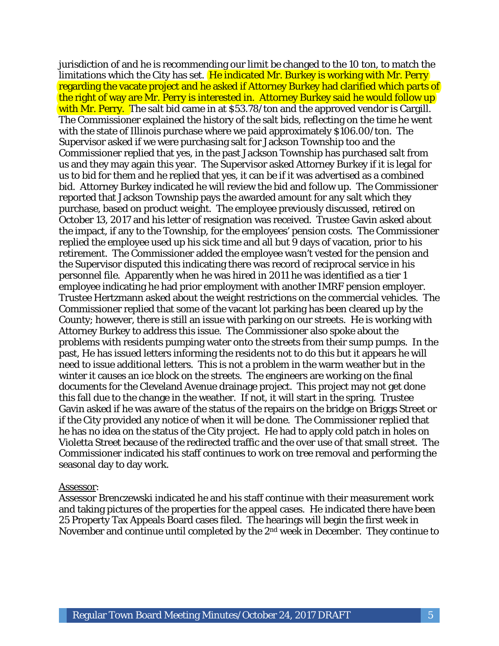jurisdiction of and he is recommending our limit be changed to the 10 ton, to match the limitations which the City has set. He indicated Mr. Burkey is working with Mr. Perry regarding the vacate project and he asked if Attorney Burkey had clarified which parts of the right of way are Mr. Perry is interested in. Attorney Burkey said he would follow up with Mr. Perry. The salt bid came in at \$53.78/ton and the approved vendor is Cargill. The Commissioner explained the history of the salt bids, reflecting on the time he went with the state of Illinois purchase where we paid approximately \$106.00/ton. The Supervisor asked if we were purchasing salt for Jackson Township too and the Commissioner replied that yes, in the past Jackson Township has purchased salt from us and they may again this year. The Supervisor asked Attorney Burkey if it is legal for us to bid for them and he replied that yes, it can be if it was advertised as a combined bid. Attorney Burkey indicated he will review the bid and follow up. The Commissioner reported that Jackson Township pays the awarded amount for any salt which they purchase, based on product weight. The employee previously discussed, retired on October 13, 2017 and his letter of resignation was received. Trustee Gavin asked about the impact, if any to the Township, for the employees' pension costs. The Commissioner replied the employee used up his sick time and all but 9 days of vacation, prior to his retirement. The Commissioner added the employee wasn't vested for the pension and the Supervisor disputed this indicating there was record of reciprocal service in his personnel file. Apparently when he was hired in 2011 he was identified as a tier 1 employee indicating he had prior employment with another IMRF pension employer. Trustee Hertzmann asked about the weight restrictions on the commercial vehicles. The Commissioner replied that some of the vacant lot parking has been cleared up by the County; however, there is still an issue with parking on our streets. He is working with Attorney Burkey to address this issue. The Commissioner also spoke about the problems with residents pumping water onto the streets from their sump pumps. In the past, He has issued letters informing the residents not to do this but it appears he will need to issue additional letters. This is not a problem in the warm weather but in the winter it causes an ice block on the streets. The engineers are working on the final documents for the Cleveland Avenue drainage project. This project may not get done this fall due to the change in the weather. If not, it will start in the spring. Trustee Gavin asked if he was aware of the status of the repairs on the bridge on Briggs Street or if the City provided any notice of when it will be done. The Commissioner replied that he has no idea on the status of the City project. He had to apply cold patch in holes on Violetta Street because of the redirected traffic and the over use of that small street. The Commissioner indicated his staff continues to work on tree removal and performing the seasonal day to day work.

#### Assessor:

Assessor Brenczewski indicated he and his staff continue with their measurement work and taking pictures of the properties for the appeal cases. He indicated there have been 25 Property Tax Appeals Board cases filed. The hearings will begin the first week in November and continue until completed by the 2nd week in December. They continue to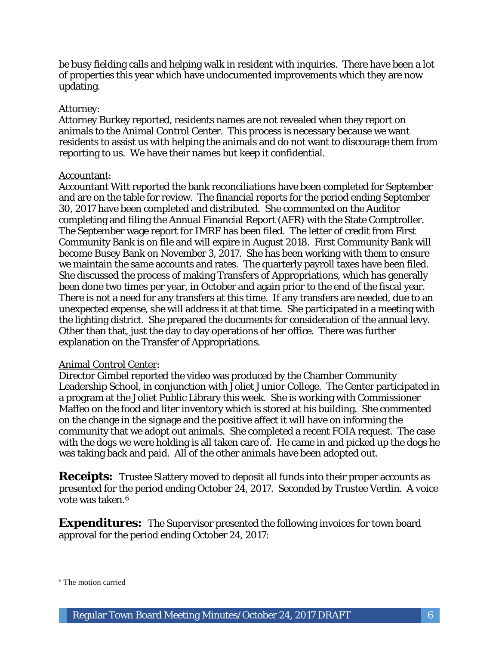be busy fielding calls and helping walk in resident with inquiries. There have been a lot of properties this year which have undocumented improvements which they are now updating.

#### Attorney:

Attorney Burkey reported, residents names are not revealed when they report on animals to the Animal Control Center. This process is necessary because we want residents to assist us with helping the animals and do not want to discourage them from reporting to us. We have their names but keep it confidential.

#### Accountant:

Accountant Witt reported the bank reconciliations have been completed for September and are on the table for review. The financial reports for the period ending September 30, 2017 have been completed and distributed. She commented on the Auditor completing and filing the Annual Financial Report (AFR) with the State Comptroller. The September wage report for IMRF has been filed. The letter of credit from First Community Bank is on file and will expire in August 2018. First Community Bank will become Busey Bank on November 3, 2017. She has been working with them to ensure we maintain the same accounts and rates. The quarterly payroll taxes have been filed. She discussed the process of making Transfers of Appropriations, which has generally been done two times per year, in October and again prior to the end of the fiscal year. There is not a need for any transfers at this time. If any transfers are needed, due to an unexpected expense, she will address it at that time. She participated in a meeting with the lighting district. She prepared the documents for consideration of the annual levy. Other than that, just the day to day operations of her office. There was further explanation on the Transfer of Appropriations.

#### Animal Control Center:

Director Gimbel reported the video was produced by the Chamber Community Leadership School, in conjunction with Joliet Junior College. The Center participated in a program at the Joliet Public Library this week. She is working with Commissioner Maffeo on the food and liter inventory which is stored at his building. She commented on the change in the signage and the positive affect it will have on informing the community that we adopt out animals. She completed a recent FOIA request. The case with the dogs we were holding is all taken care of. He came in and picked up the dogs he was taking back and paid. All of the other animals have been adopted out.

**Receipts:** Trustee Slattery moved to deposit all funds into their proper accounts as presented for the period ending October 24, 2017. Seconded by Trustee Verdin. A voice vote was taken.6

**Expenditures:** The Supervisor presented the following invoices for town board approval for the period ending October 24, 2017:

 $\overline{a}$ 

<sup>6</sup> The motion carried